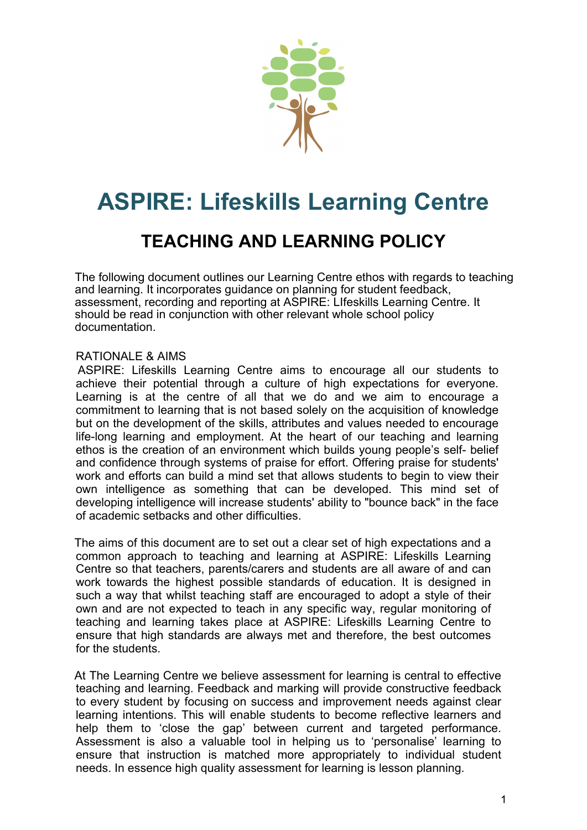

# **ASPIRE: Lifeskills Learning Centre**

# **TEACHING AND LEARNING POLICY**

The following document outlines our Learning Centre ethos with regards to teaching and learning. It incorporates guidance on planning for student feedback, assessment, recording and reporting at ASPIRE: LIfeskills Learning Centre. It should be read in conjunction with other relevant whole school policy documentation.

# RATIONALE & AIMS

 ASPIRE: Lifeskills Learning Centre aims to encourage all our students to achieve their potential through a culture of high expectations for everyone. Learning is at the centre of all that we do and we aim to encourage a commitment to learning that is not based solely on the acquisition of knowledge but on the development of the skills, attributes and values needed to encourage life-long learning and employment. At the heart of our teaching and learning ethos is the creation of an environment which builds young people's self- belief and confidence through systems of praise for effort. Offering praise for students' work and efforts can build a mind set that allows students to begin to view their own intelligence as something that can be developed. This mind set of developing intelligence will increase students' ability to "bounce back" in the face of academic setbacks and other difficulties.

 The aims of this document are to set out a clear set of high expectations and a common approach to teaching and learning at ASPIRE: Lifeskills Learning Centre so that teachers, parents/carers and students are all aware of and can work towards the highest possible standards of education. It is designed in such a way that whilst teaching staff are encouraged to adopt a style of their own and are not expected to teach in any specific way, regular monitoring of teaching and learning takes place at ASPIRE: Lifeskills Learning Centre to ensure that high standards are always met and therefore, the best outcomes for the students.

 At The Learning Centre we believe assessment for learning is central to effective teaching and learning. Feedback and marking will provide constructive feedback to every student by focusing on success and improvement needs against clear learning intentions. This will enable students to become reflective learners and help them to 'close the gap' between current and targeted performance. Assessment is also a valuable tool in helping us to 'personalise' learning to ensure that instruction is matched more appropriately to individual student needs. In essence high quality assessment for learning is lesson planning.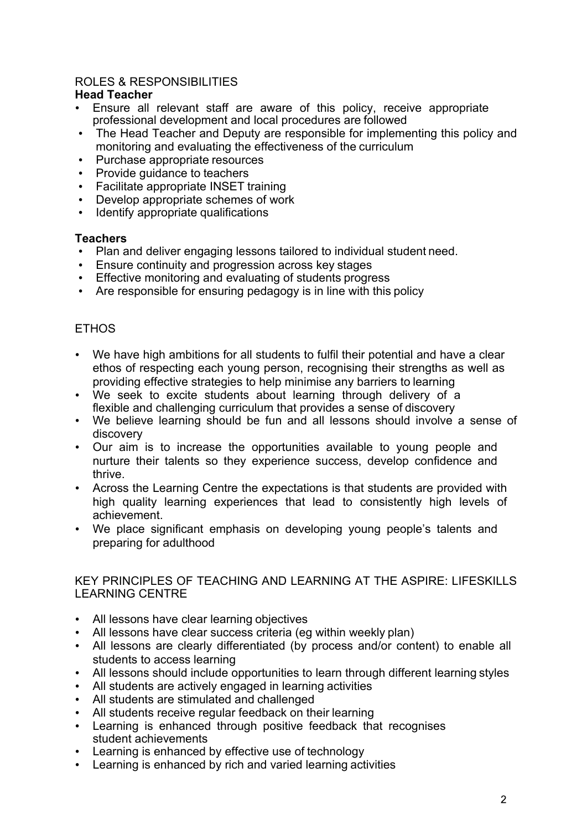# ROLES & RESPONSIBILITIES

# **Head Teacher**

- Ensure all relevant staff are aware of this policy, receive appropriate professional development and local procedures are followed
- The Head Teacher and Deputy are responsible for implementing this policy and monitoring and evaluating the effectiveness of the curriculum
- Purchase appropriate resources
- Provide guidance to teachers
- Facilitate appropriate INSET training
- Develop appropriate schemes of work
- Identify appropriate qualifications

# **Teachers**

- Plan and deliver engaging lessons tailored to individual student need.
- Ensure continuity and progression across key stages
- Effective monitoring and evaluating of students progress
- Are responsible for ensuring pedagogy is in line with this policy

# **ETHOS**

- We have high ambitions for all students to fulfil their potential and have a clear ethos of respecting each young person, recognising their strengths as well as providing effective strategies to help minimise any barriers to learning
- We seek to excite students about learning through delivery of a flexible and challenging curriculum that provides a sense of discovery
- We believe learning should be fun and all lessons should involve a sense of discovery
- Our aim is to increase the opportunities available to young people and nurture their talents so they experience success, develop confidence and thrive.
- Across the Learning Centre the expectations is that students are provided with high quality learning experiences that lead to consistently high levels of achievement.
- We place significant emphasis on developing young people's talents and preparing for adulthood

# KEY PRINCIPLES OF TEACHING AND LEARNING AT THE ASPIRE: LIFESKILLS LEARNING CENTRE

- All lessons have clear learning objectives
- All lessons have clear success criteria (eg within weekly plan)
- All lessons are clearly differentiated (by process and/or content) to enable all students to access learning
- All lessons should include opportunities to learn through different learning styles
- All students are actively engaged in learning activities
- All students are stimulated and challenged
- All students receive regular feedback on their learning
- Learning is enhanced through positive feedback that recognises student achievements
- Learning is enhanced by effective use of technology
- Learning is enhanced by rich and varied learning activities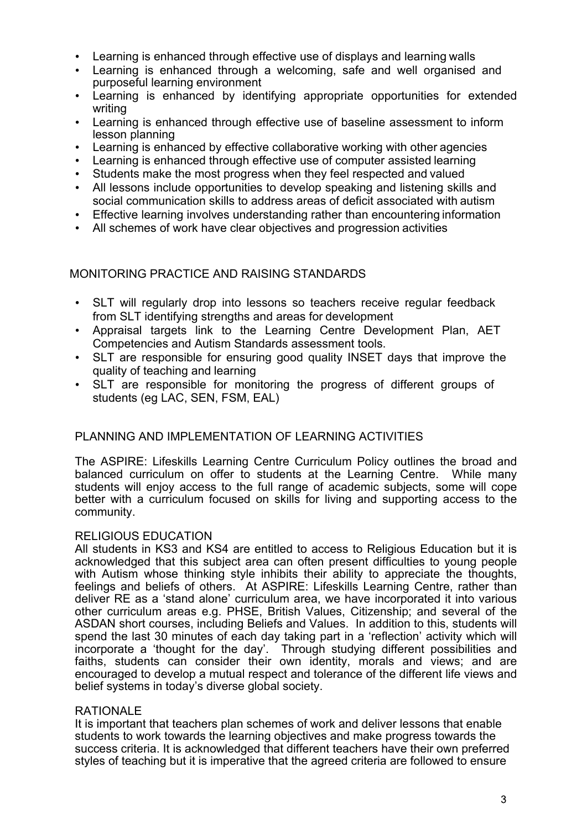- Learning is enhanced through effective use of displays and learning walls
- Learning is enhanced through a welcoming, safe and well organised and purposeful learning environment
- Learning is enhanced by identifying appropriate opportunities for extended writing
- Learning is enhanced through effective use of baseline assessment to inform lesson planning
- Learning is enhanced by effective collaborative working with other agencies
- Learning is enhanced through effective use of computer assisted learning
- Students make the most progress when they feel respected and valued
- All lessons include opportunities to develop speaking and listening skills and social communication skills to address areas of deficit associated with autism
- Effective learning involves understanding rather than encountering information
- All schemes of work have clear objectives and progression activities

MONITORING PRACTICE AND RAISING STANDARDS

- SLT will regularly drop into lessons so teachers receive regular feedback from SLT identifying strengths and areas for development
- Appraisal targets link to the Learning Centre Development Plan, AET Competencies and Autism Standards assessment tools.
- SLT are responsible for ensuring good quality INSET days that improve the quality of teaching and learning
- SLT are responsible for monitoring the progress of different groups of students (eg LAC, SEN, FSM, EAL)

# PLANNING AND IMPLEMENTATION OF LEARNING ACTIVITIES

The ASPIRE: Lifeskills Learning Centre Curriculum Policy outlines the broad and balanced curriculum on offer to students at the Learning Centre. While many students will enjoy access to the full range of academic subjects, some will cope better with a curriculum focused on skills for living and supporting access to the community.

#### RELIGIOUS EDUCATION

All students in KS3 and KS4 are entitled to access to Religious Education but it is acknowledged that this subject area can often present difficulties to young people with Autism whose thinking style inhibits their ability to appreciate the thoughts, feelings and beliefs of others. At ASPIRE: Lifeskills Learning Centre, rather than deliver RE as a 'stand alone' curriculum area, we have incorporated it into various other curriculum areas e.g. PHSE, British Values, Citizenship; and several of the ASDAN short courses, including Beliefs and Values. In addition to this, students will spend the last 30 minutes of each day taking part in a 'reflection' activity which will incorporate a 'thought for the day'. Through studying different possibilities and faiths, students can consider their own identity, morals and views; and are encouraged to develop a mutual respect and tolerance of the different life views and belief systems in today's diverse global society.

#### RATIONALE

It is important that teachers plan schemes of work and deliver lessons that enable students to work towards the learning objectives and make progress towards the success criteria. It is acknowledged that different teachers have their own preferred styles of teaching but it is imperative that the agreed criteria are followed to ensure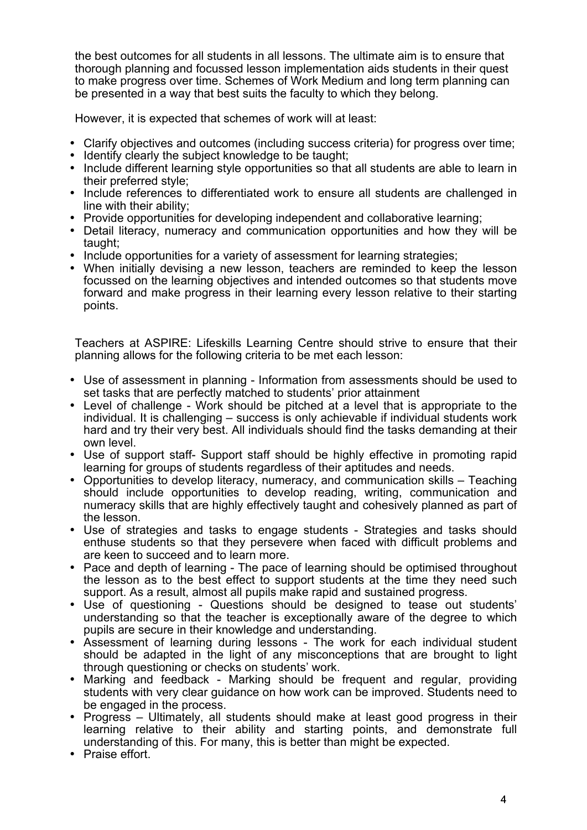the best outcomes for all students in all lessons. The ultimate aim is to ensure that thorough planning and focussed lesson implementation aids students in their quest to make progress over time. Schemes of Work Medium and long term planning can be presented in a way that best suits the faculty to which they belong.

However, it is expected that schemes of work will at least:

- Clarify objectives and outcomes (including success criteria) for progress over time;
- Identify clearly the subject knowledge to be taught;
- Include different learning style opportunities so that all students are able to learn in their preferred style;
- Include references to differentiated work to ensure all students are challenged in line with their ability;
- Provide opportunities for developing independent and collaborative learning;
- Detail literacy, numeracy and communication opportunities and how they will be taught;
- Include opportunities for a variety of assessment for learning strategies;
- When initially devising a new lesson, teachers are reminded to keep the lesson focussed on the learning objectives and intended outcomes so that students move forward and make progress in their learning every lesson relative to their starting points.

Teachers at ASPIRE: Lifeskills Learning Centre should strive to ensure that their planning allows for the following criteria to be met each lesson:

- Use of assessment in planning Information from assessments should be used to set tasks that are perfectly matched to students' prior attainment
- Level of challenge Work should be pitched at a level that is appropriate to the individual. It is challenging – success is only achievable if individual students work hard and try their very best. All individuals should find the tasks demanding at their own level.
- Use of support staff- Support staff should be highly effective in promoting rapid learning for groups of students regardless of their aptitudes and needs.
- Opportunities to develop literacy, numeracy, and communication skills Teaching should include opportunities to develop reading, writing, communication and numeracy skills that are highly effectively taught and cohesively planned as part of the lesson.
- Use of strategies and tasks to engage students Strategies and tasks should enthuse students so that they persevere when faced with difficult problems and are keen to succeed and to learn more.
- Pace and depth of learning The pace of learning should be optimised throughout the lesson as to the best effect to support students at the time they need such support. As a result, almost all pupils make rapid and sustained progress.
- Use of questioning Questions should be designed to tease out students' understanding so that the teacher is exceptionally aware of the degree to which pupils are secure in their knowledge and understanding.
- Assessment of learning during lessons The work for each individual student should be adapted in the light of any misconceptions that are brought to light through questioning or checks on students' work.
- Marking and feedback Marking should be frequent and regular, providing students with very clear guidance on how work can be improved. Students need to be engaged in the process.
- Progress Ultimately, all students should make at least good progress in their learning relative to their ability and starting points, and demonstrate full understanding of this. For many, this is better than might be expected.
- Praise effort.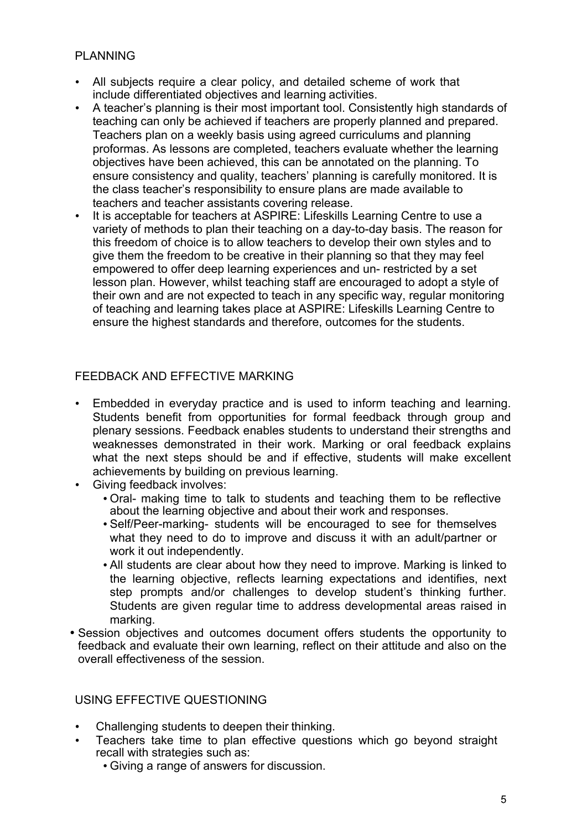# PLANNING

- All subjects require a clear policy, and detailed scheme of work that include differentiated objectives and learning activities.
- A teacher's planning is their most important tool. Consistently high standards of teaching can only be achieved if teachers are properly planned and prepared. Teachers plan on a weekly basis using agreed curriculums and planning proformas. As lessons are completed, teachers evaluate whether the learning objectives have been achieved, this can be annotated on the planning. To ensure consistency and quality, teachers' planning is carefully monitored. It is the class teacher's responsibility to ensure plans are made available to teachers and teacher assistants covering release.
- It is acceptable for teachers at ASPIRE: Lifeskills Learning Centre to use a variety of methods to plan their teaching on a day-to-day basis. The reason for this freedom of choice is to allow teachers to develop their own styles and to give them the freedom to be creative in their planning so that they may feel empowered to offer deep learning experiences and un- restricted by a set lesson plan. However, whilst teaching staff are encouraged to adopt a style of their own and are not expected to teach in any specific way, regular monitoring of teaching and learning takes place at ASPIRE: Lifeskills Learning Centre to ensure the highest standards and therefore, outcomes for the students.

# FEEDBACK AND EFFECTIVE MARKING

- Embedded in everyday practice and is used to inform teaching and learning. Students benefit from opportunities for formal feedback through group and plenary sessions. Feedback enables students to understand their strengths and weaknesses demonstrated in their work. Marking or oral feedback explains what the next steps should be and if effective, students will make excellent achievements by building on previous learning.
- Giving feedback involves:
	- Oral- making time to talk to students and teaching them to be reflective about the learning objective and about their work and responses.
	- Self/Peer-marking- students will be encouraged to see for themselves what they need to do to improve and discuss it with an adult/partner or work it out independently.
	- All students are clear about how they need to improve. Marking is linked to the learning objective, reflects learning expectations and identifies, next step prompts and/or challenges to develop student's thinking further. Students are given regular time to address developmental areas raised in marking.
- Session objectives and outcomes document offers students the opportunity to feedback and evaluate their own learning, reflect on their attitude and also on the overall effectiveness of the session.

USING EFFECTIVE QUESTIONING

- Challenging students to deepen their thinking.
- Teachers take time to plan effective questions which go beyond straight recall with strategies such as:
	- Giving a range of answers for discussion.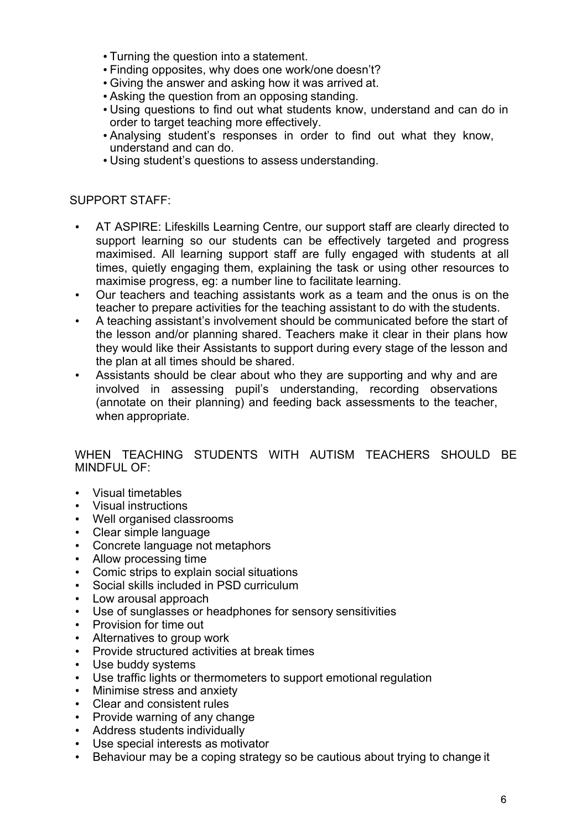- Turning the question into a statement.
- Finding opposites, why does one work/one doesn't?
- Giving the answer and asking how it was arrived at.
- Asking the question from an opposing standing.
- Using questions to find out what students know, understand and can do in order to target teaching more effectively.
- Analysing student's responses in order to find out what they know, understand and can do.
- Using student's questions to assess understanding.

#### SUPPORT STAFF:

- AT ASPIRE: Lifeskills Learning Centre, our support staff are clearly directed to support learning so our students can be effectively targeted and progress maximised. All learning support staff are fully engaged with students at all times, quietly engaging them, explaining the task or using other resources to maximise progress, eg: a number line to facilitate learning.
- Our teachers and teaching assistants work as a team and the onus is on the teacher to prepare activities for the teaching assistant to do with the students.
- A teaching assistant's involvement should be communicated before the start of the lesson and/or planning shared. Teachers make it clear in their plans how they would like their Assistants to support during every stage of the lesson and the plan at all times should be shared.
- Assistants should be clear about who they are supporting and why and are involved in assessing pupil's understanding, recording observations (annotate on their planning) and feeding back assessments to the teacher, when appropriate.

# WHEN TEACHING STUDENTS WITH AUTISM TEACHERS SHOULD BE MINDFUL OF:

- Visual timetables
- Visual instructions
- Well organised classrooms
- Clear simple language
- Concrete language not metaphors
- Allow processing time
- Comic strips to explain social situations
- Social skills included in PSD curriculum
- Low arousal approach
- Use of sunglasses or headphones for sensory sensitivities
- Provision for time out
- Alternatives to group work
- Provide structured activities at break times
- Use buddy systems
- Use traffic lights or thermometers to support emotional regulation
- Minimise stress and anxiety
- Clear and consistent rules
- Provide warning of any change
- Address students individually
- Use special interests as motivator
- Behaviour may be a coping strategy so be cautious about trying to change it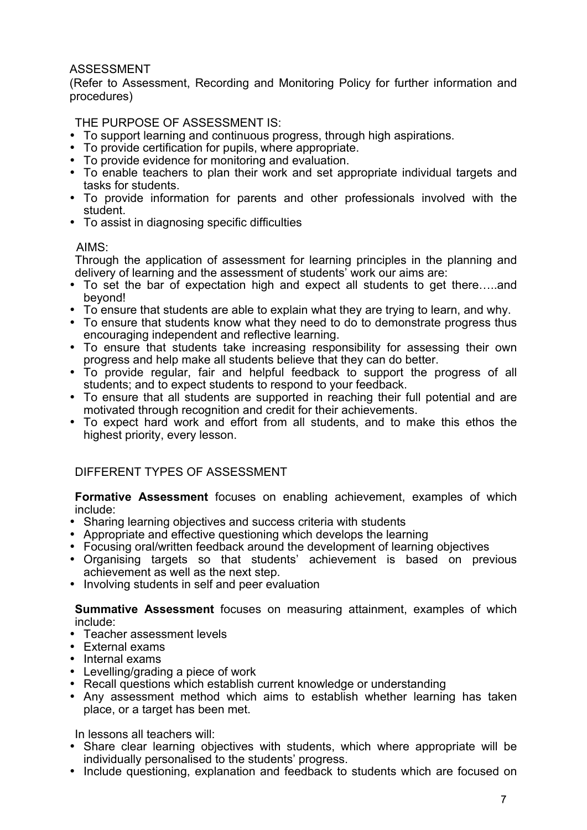# ASSESSMENT

(Refer to Assessment, Recording and Monitoring Policy for further information and procedures)

THE PURPOSE OF ASSESSMENT IS:

- To support learning and continuous progress, through high aspirations.
- To provide certification for pupils, where appropriate.
- To provide evidence for monitoring and evaluation.
- To enable teachers to plan their work and set appropriate individual targets and tasks for students.
- To provide information for parents and other professionals involved with the student.
- To assist in diagnosing specific difficulties

#### AIMS:

Through the application of assessment for learning principles in the planning and delivery of learning and the assessment of students' work our aims are:

- To set the bar of expectation high and expect all students to get there…..and beyond!
- To ensure that students are able to explain what they are trying to learn, and why.
- To ensure that students know what they need to do to demonstrate progress thus encouraging independent and reflective learning.
- To ensure that students take increasing responsibility for assessing their own progress and help make all students believe that they can do better.
- To provide regular, fair and helpful feedback to support the progress of all students; and to expect students to respond to your feedback.
- To ensure that all students are supported in reaching their full potential and are motivated through recognition and credit for their achievements.
- To expect hard work and effort from all students, and to make this ethos the highest priority, every lesson.

# DIFFERENT TYPES OF ASSESSMENT

**Formative Assessment** focuses on enabling achievement, examples of which include:

- Sharing learning objectives and success criteria with students
- Appropriate and effective questioning which develops the learning
- Focusing oral/written feedback around the development of learning objectives
- Organising targets so that students' achievement is based on previous achievement as well as the next step.
- Involving students in self and peer evaluation

**Summative Assessment** focuses on measuring attainment, examples of which include:

- Teacher assessment levels
- External exams
- Internal exams
- Levelling/grading a piece of work
- Recall questions which establish current knowledge or understanding
- Any assessment method which aims to establish whether learning has taken place, or a target has been met.

In lessons all teachers will:

- Share clear learning objectives with students, which where appropriate will be individually personalised to the students' progress.
- Include questioning, explanation and feedback to students which are focused on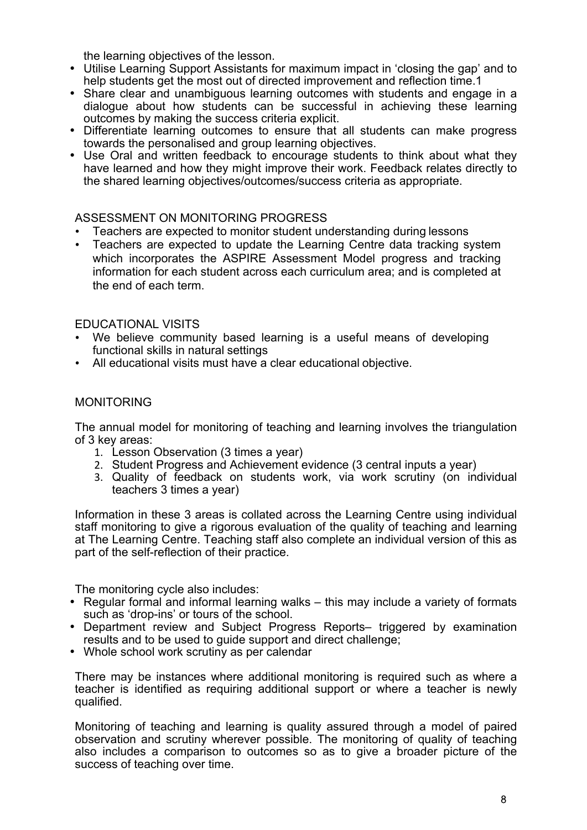the learning objectives of the lesson.

- Utilise Learning Support Assistants for maximum impact in 'closing the gap' and to help students get the most out of directed improvement and reflection time.1
- Share clear and unambiguous learning outcomes with students and engage in a dialogue about how students can be successful in achieving these learning outcomes by making the success criteria explicit.
- Differentiate learning outcomes to ensure that all students can make progress towards the personalised and group learning objectives.
- Use Oral and written feedback to encourage students to think about what they have learned and how they might improve their work. Feedback relates directly to the shared learning objectives/outcomes/success criteria as appropriate.

# ASSESSMENT ON MONITORING PROGRESS

- Teachers are expected to monitor student understanding during lessons
- Teachers are expected to update the Learning Centre data tracking system which incorporates the ASPIRE Assessment Model progress and tracking information for each student across each curriculum area; and is completed at the end of each term.

# EDUCATIONAL VISITS

- We believe community based learning is a useful means of developing functional skills in natural settings
- All educational visits must have a clear educational objective.

# MONITORING

The annual model for monitoring of teaching and learning involves the triangulation of 3 key areas:

- 1. Lesson Observation (3 times a year)
- 2. Student Progress and Achievement evidence (3 central inputs a year)
- 3. Quality of feedback on students work, via work scrutiny (on individual teachers 3 times a year)

Information in these 3 areas is collated across the Learning Centre using individual staff monitoring to give a rigorous evaluation of the quality of teaching and learning at The Learning Centre. Teaching staff also complete an individual version of this as part of the self-reflection of their practice.

The monitoring cycle also includes:

- Regular formal and informal learning walks this may include a variety of formats such as 'drop-ins' or tours of the school.
- Department review and Subject Progress Reports– triggered by examination results and to be used to guide support and direct challenge;
- Whole school work scrutiny as per calendar

There may be instances where additional monitoring is required such as where a teacher is identified as requiring additional support or where a teacher is newly qualified.

Monitoring of teaching and learning is quality assured through a model of paired observation and scrutiny wherever possible. The monitoring of quality of teaching also includes a comparison to outcomes so as to give a broader picture of the success of teaching over time.